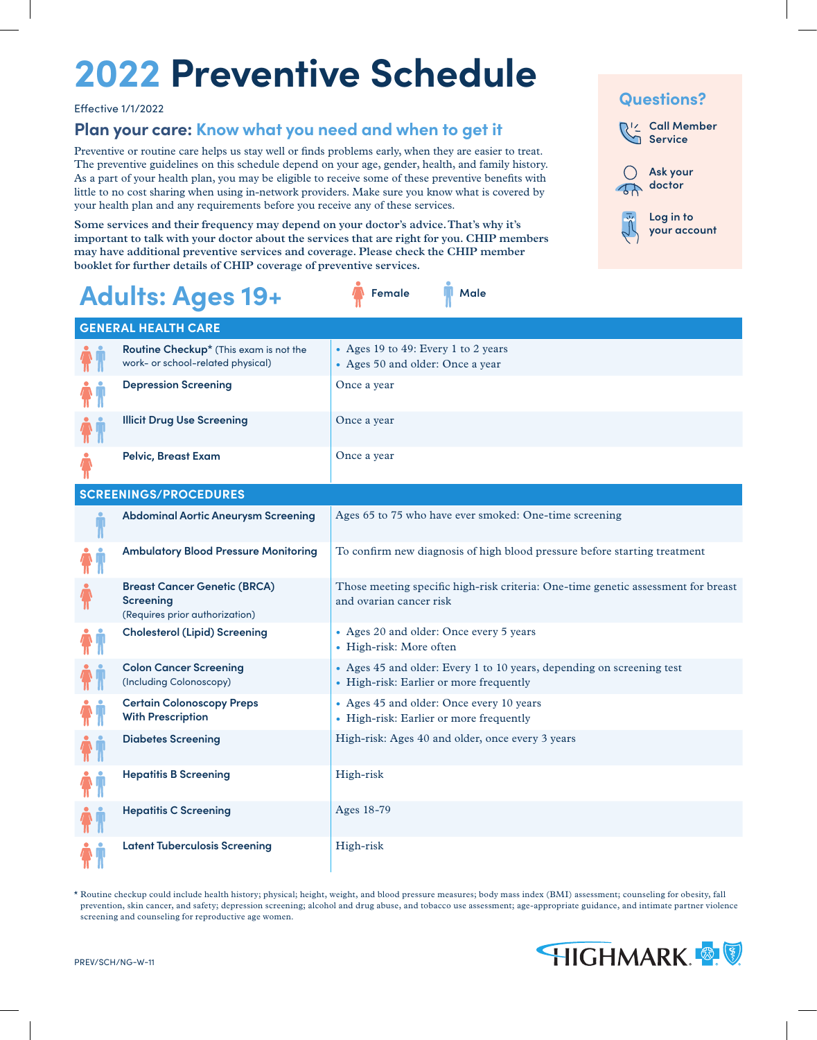# **2022 Preventive Schedule**

Effective 1/1/2022

### **Plan your care: Know what you need and when to get it**

Preventive or routine care helps us stay well or finds problems early, when they are easier to treat. The preventive guidelines on this schedule depend on your age, gender, health, and family history. As a part of your health plan, you may be eligible to receive some of these preventive benefits with little to no cost sharing when using in-network providers. Make sure you know what is covered by your health plan and any requirements before you receive any of these services.

**Some services and their frequency may depend on your doctor's advice. That's why it's important to talk with your doctor about the services that are right for you. CHIP members may have additional preventive services and coverage. Please check the CHIP member booklet for further details of CHIP coverage of preventive services.**

### **Call Member Service Ask your doctor Log in to your account Questions?**

| Adults: Ages 19+                                                                          | Female<br>Male                                                                                                   |
|-------------------------------------------------------------------------------------------|------------------------------------------------------------------------------------------------------------------|
| <b>GENERAL HEALTH CARE</b>                                                                |                                                                                                                  |
| Routine Checkup* (This exam is not the<br>work- or school-related physical)               | • Ages 19 to 49: Every 1 to 2 years<br>• Ages 50 and older: Once a year                                          |
| <b>Depression Screening</b>                                                               | Once a year                                                                                                      |
| <b>Illicit Drug Use Screening</b>                                                         | Once a year                                                                                                      |
| Pelvic, Breast Exam                                                                       | Once a year                                                                                                      |
| <b>SCREENINGS/PROCEDURES</b>                                                              |                                                                                                                  |
| <b>Abdominal Aortic Aneurysm Screening</b>                                                | Ages 65 to 75 who have ever smoked: One-time screening                                                           |
| <b>Ambulatory Blood Pressure Monitoring</b>                                               | To confirm new diagnosis of high blood pressure before starting treatment                                        |
| <b>Breast Cancer Genetic (BRCA)</b><br><b>Screening</b><br>(Requires prior authorization) | Those meeting specific high-risk criteria: One-time genetic assessment for breast<br>and ovarian cancer risk     |
| <b>Cholesterol (Lipid) Screening</b>                                                      | • Ages 20 and older: Once every 5 years<br>• High-risk: More often                                               |
| <b>Colon Cancer Screening</b><br>(Including Colonoscopy)                                  | • Ages 45 and older: Every 1 to 10 years, depending on screening test<br>• High-risk: Earlier or more frequently |
| <b>Certain Colonoscopy Preps</b><br><b>With Prescription</b>                              | • Ages 45 and older: Once every 10 years<br>• High-risk: Earlier or more frequently                              |
| <b>Diabetes Screening</b>                                                                 | High-risk: Ages 40 and older, once every 3 years                                                                 |
| <b>Hepatitis B Screening</b>                                                              | High-risk                                                                                                        |
| <b>Hepatitis C Screening</b>                                                              | Ages 18-79                                                                                                       |
| <b>Latent Tuberculosis Screening</b>                                                      | High-risk                                                                                                        |

\* Routine checkup could include health history; physical; height, weight, and blood pressure measures; body mass index (BMI) assessment; counseling for obesity, fall prevention, skin cancer, and safety; depression screening; alcohol and drug abuse, and tobacco use assessment; age-appropriate guidance, and intimate partner violence screening and counseling for reproductive age women.

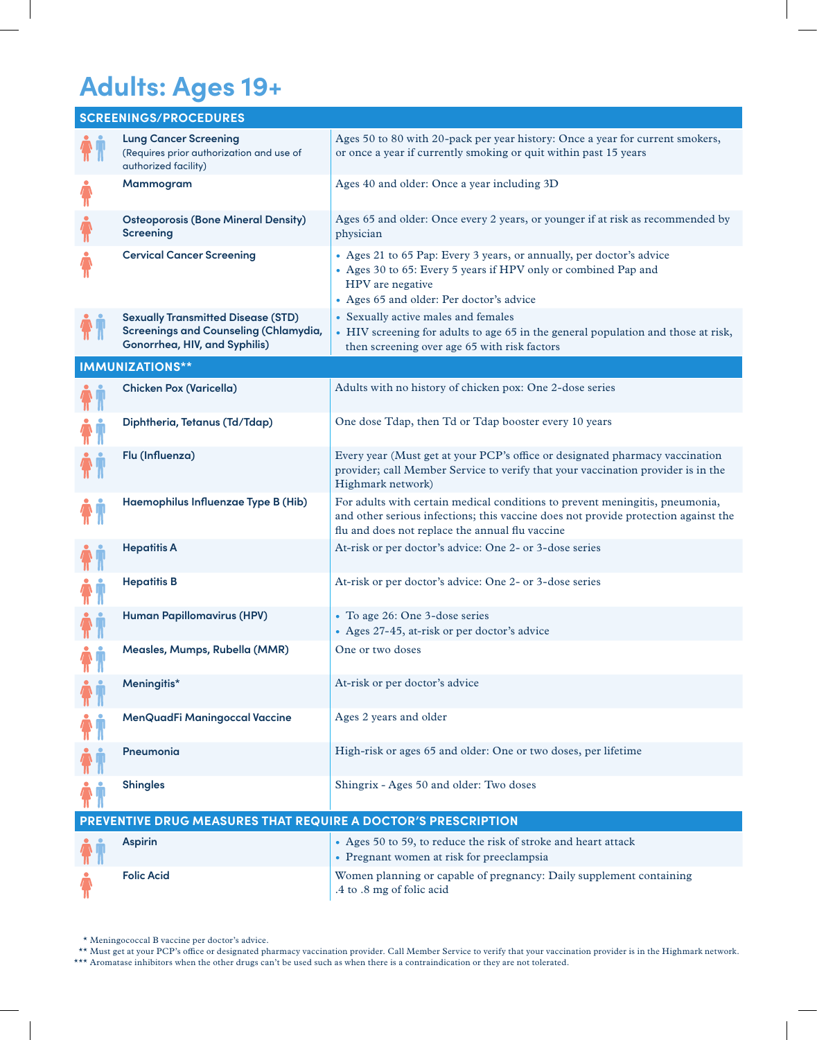### **Adults: Ages 19+**

|                           | <b>SCREENINGS/PROCEDURES</b>                                                                                               |                                                                                                                                                                                                                       |
|---------------------------|----------------------------------------------------------------------------------------------------------------------------|-----------------------------------------------------------------------------------------------------------------------------------------------------------------------------------------------------------------------|
|                           | <b>Lung Cancer Screening</b><br>(Requires prior authorization and use of<br>authorized facility)                           | Ages 50 to 80 with 20-pack per year history: Once a year for current smokers,<br>or once a year if currently smoking or quit within past 15 years                                                                     |
| $\hat{\bm{\pi}}$          | Mammogram                                                                                                                  | Ages 40 and older: Once a year including 3D                                                                                                                                                                           |
|                           | <b>Osteoporosis (Bone Mineral Density)</b><br><b>Screening</b>                                                             | Ages 65 and older: Once every 2 years, or younger if at risk as recommended by<br>physician                                                                                                                           |
|                           | <b>Cervical Cancer Screening</b>                                                                                           | • Ages 21 to 65 Pap: Every 3 years, or annually, per doctor's advice<br>• Ages 30 to 65: Every 5 years if HPV only or combined Pap and<br>HPV are negative<br>• Ages 65 and older: Per doctor's advice                |
|                           | <b>Sexually Transmitted Disease (STD)</b><br><b>Screenings and Counseling (Chlamydia,</b><br>Gonorrhea, HIV, and Syphilis) | • Sexually active males and females<br>• HIV screening for adults to age 65 in the general population and those at risk,<br>then screening over age 65 with risk factors                                              |
|                           | <b>IMMUNIZATIONS**</b>                                                                                                     |                                                                                                                                                                                                                       |
|                           | <b>Chicken Pox (Varicella)</b>                                                                                             | Adults with no history of chicken pox: One 2-dose series                                                                                                                                                              |
|                           | Diphtheria, Tetanus (Td/Tdap)                                                                                              | One dose Tdap, then Td or Tdap booster every 10 years                                                                                                                                                                 |
|                           | Flu (Influenza)                                                                                                            | Every year (Must get at your PCP's office or designated pharmacy vaccination<br>provider; call Member Service to verify that your vaccination provider is in the<br>Highmark network)                                 |
|                           | Haemophilus Influenzae Type B (Hib)                                                                                        | For adults with certain medical conditions to prevent meningitis, pneumonia,<br>and other serious infections; this vaccine does not provide protection against the<br>flu and does not replace the annual flu vaccine |
|                           | <b>Hepatitis A</b>                                                                                                         | At-risk or per doctor's advice: One 2- or 3-dose series                                                                                                                                                               |
|                           | <b>Hepatitis B</b>                                                                                                         | At-risk or per doctor's advice: One 2- or 3-dose series                                                                                                                                                               |
|                           | <b>Human Papillomavirus (HPV)</b>                                                                                          | • To age 26: One 3-dose series<br>• Ages 27-45, at-risk or per doctor's advice                                                                                                                                        |
| $\mathbf{n}$ $\mathbf{n}$ | Measles, Mumps, Rubella (MMR)                                                                                              | One or two doses                                                                                                                                                                                                      |
|                           | Meningitis*                                                                                                                | At-risk or per doctor's advice                                                                                                                                                                                        |
|                           | MenQuadFi Maningoccal Vaccine                                                                                              | Ages 2 years and older                                                                                                                                                                                                |
|                           | Pneumonia                                                                                                                  | High-risk or ages 65 and older: One or two doses, per lifetime                                                                                                                                                        |
|                           | <b>Shingles</b>                                                                                                            | Shingrix - Ages 50 and older: Two doses                                                                                                                                                                               |
|                           | PREVENTIVE DRUG MEASURES THAT REQUIRE A DOCTOR'S PRESCRIPTION                                                              |                                                                                                                                                                                                                       |
|                           | <b>Aspirin</b>                                                                                                             | • Ages 50 to 59, to reduce the risk of stroke and heart attack<br>• Pregnant women at risk for preeclampsia                                                                                                           |
|                           | <b>Folic Acid</b>                                                                                                          | Women planning or capable of pregnancy: Daily supplement containing<br>.4 to .8 mg of folic acid                                                                                                                      |

\* Meningococcal B vaccine per doctor's advice.

\*\* Must get at your PCP's office or designated pharmacy vaccination provider. Call Member Service to verify that your vaccination provider is in the Highmark network. \*\*\* Aromatase inhibitors when the other drugs can't be used such as when there is a contraindication or they are not tolerated.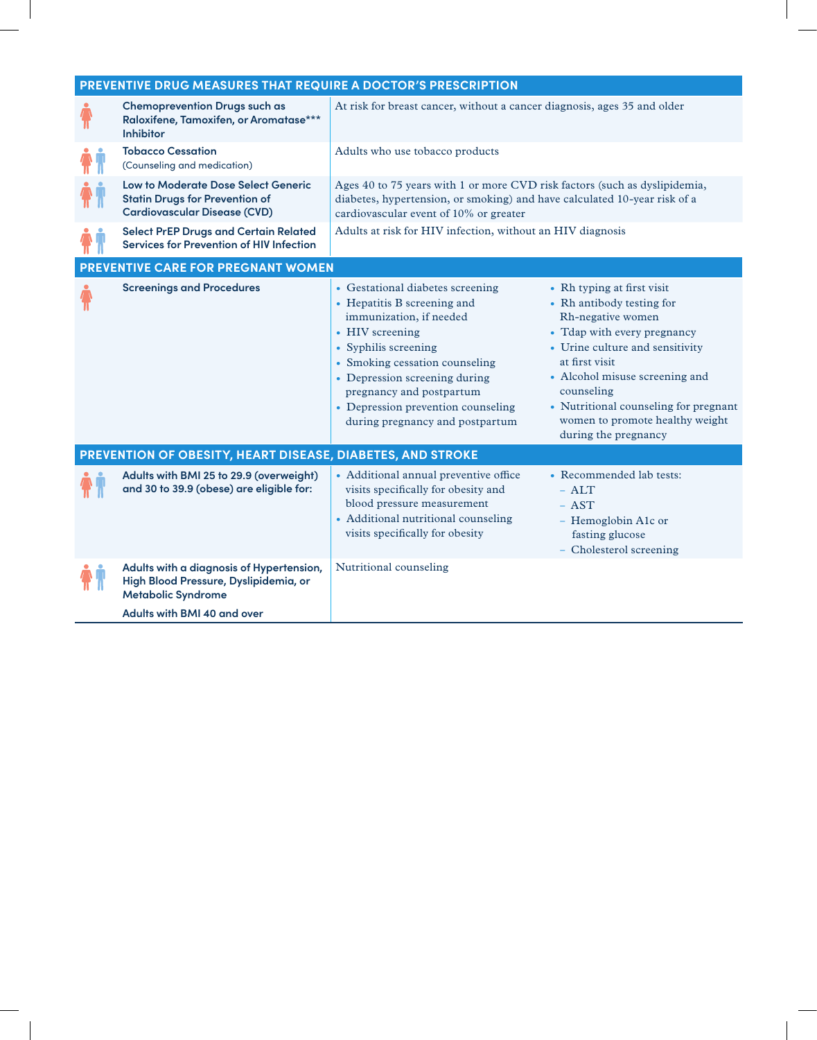| PREVENTIVE DRUG MEASURES THAT REQUIRE A DOCTOR'S PRESCRIPTION                                                              |                                                                                                                                                                                                                                                                                                               |                                                                                                                                                                                                                                                                                                                      |  |  |  |  |
|----------------------------------------------------------------------------------------------------------------------------|---------------------------------------------------------------------------------------------------------------------------------------------------------------------------------------------------------------------------------------------------------------------------------------------------------------|----------------------------------------------------------------------------------------------------------------------------------------------------------------------------------------------------------------------------------------------------------------------------------------------------------------------|--|--|--|--|
| <b>Chemoprevention Drugs such as</b><br>Raloxifene, Tamoxifen, or Aromatase***<br><b>Inhibitor</b>                         | At risk for breast cancer, without a cancer diagnosis, ages 35 and older                                                                                                                                                                                                                                      |                                                                                                                                                                                                                                                                                                                      |  |  |  |  |
| <b>Tobacco Cessation</b><br>(Counseling and medication)                                                                    | Adults who use tobacco products                                                                                                                                                                                                                                                                               |                                                                                                                                                                                                                                                                                                                      |  |  |  |  |
| <b>Low to Moderate Dose Select Generic</b><br><b>Statin Drugs for Prevention of</b><br><b>Cardiovascular Disease (CVD)</b> | Ages 40 to 75 years with 1 or more CVD risk factors (such as dyslipidemia,<br>diabetes, hypertension, or smoking) and have calculated 10-year risk of a<br>cardiovascular event of 10% or greater                                                                                                             |                                                                                                                                                                                                                                                                                                                      |  |  |  |  |
| <b>Select PrEP Drugs and Certain Related</b><br><b>Services for Prevention of HIV Infection</b>                            | Adults at risk for HIV infection, without an HIV diagnosis                                                                                                                                                                                                                                                    |                                                                                                                                                                                                                                                                                                                      |  |  |  |  |
| <b>PREVENTIVE CARE FOR PREGNANT WOMEN</b>                                                                                  |                                                                                                                                                                                                                                                                                                               |                                                                                                                                                                                                                                                                                                                      |  |  |  |  |
| <b>Screenings and Procedures</b>                                                                                           | • Gestational diabetes screening<br>• Hepatitis B screening and<br>immunization, if needed<br>• HIV screening<br>• Syphilis screening<br>• Smoking cessation counseling<br>• Depression screening during<br>pregnancy and postpartum<br>• Depression prevention counseling<br>during pregnancy and postpartum | • Rh typing at first visit<br>• Rh antibody testing for<br>Rh-negative women<br>• Tdap with every pregnancy<br>• Urine culture and sensitivity<br>at first visit<br>• Alcohol misuse screening and<br>counseling<br>• Nutritional counseling for pregnant<br>women to promote healthy weight<br>during the pregnancy |  |  |  |  |
| PREVENTION OF OBESITY, HEART DISEASE, DIABETES, AND STROKE                                                                 |                                                                                                                                                                                                                                                                                                               |                                                                                                                                                                                                                                                                                                                      |  |  |  |  |
| Adults with BMI 25 to 29.9 (overweight)<br>and 30 to 39.9 (obese) are eligible for:                                        | • Additional annual preventive office<br>visits specifically for obesity and<br>blood pressure measurement<br>• Additional nutritional counseling<br>visits specifically for obesity                                                                                                                          | • Recommended lab tests:<br>$-$ ALT<br>$-$ AST<br>- Hemoglobin A1c or<br>fasting glucose<br>- Cholesterol screening                                                                                                                                                                                                  |  |  |  |  |
| Adults with a diagnosis of Hypertension,<br>High Blood Pressure, Dyslipidemia, or<br><b>Metabolic Syndrome</b>             | Nutritional counseling                                                                                                                                                                                                                                                                                        |                                                                                                                                                                                                                                                                                                                      |  |  |  |  |
| Adults with BMI 40 and over                                                                                                |                                                                                                                                                                                                                                                                                                               |                                                                                                                                                                                                                                                                                                                      |  |  |  |  |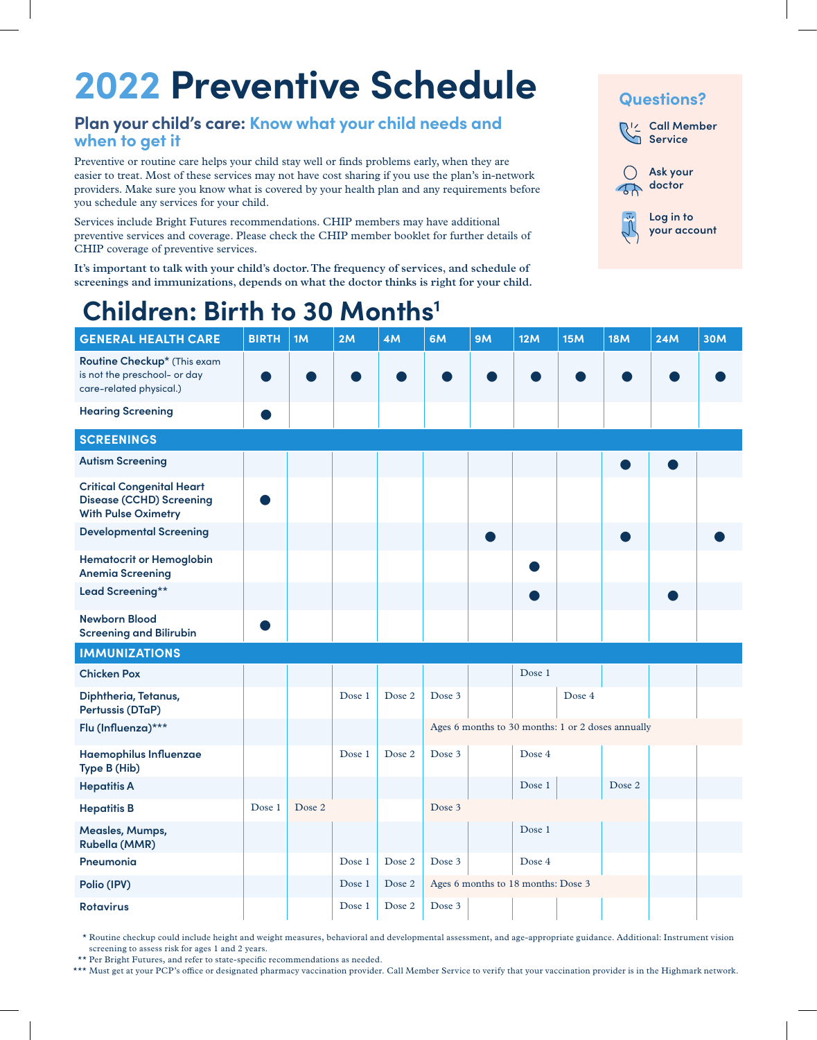## **2022 Preventive Schedule**

### **Plan your child's care: Know what your child needs and when to get it**

Preventive or routine care helps your child stay well or finds problems early, when they are easier to treat. Most of these services may not have cost sharing if you use the plan's in-network providers. Make sure you know what is covered by your health plan and any requirements before you schedule any services for your child.

Services include Bright Futures recommendations. CHIP members may have additional preventive services and coverage. Please check the CHIP member booklet for further details of CHIP coverage of preventive services.

**It's important to talk with your child's doctor. The frequency of services, and schedule of screenings and immunizations, depends on what the doctor thinks is right for your child.**



### **Children: Birth to 30 Months1**

| <b>GENERAL HEALTH CARE</b>                                                                        | <b>BIRTH</b> | 1M     | 2M     | 4M     | 6M     | <b>9M</b> | 12M                                | 15M    | <b>18M</b>                                        | <b>24M</b> | <b>30M</b> |
|---------------------------------------------------------------------------------------------------|--------------|--------|--------|--------|--------|-----------|------------------------------------|--------|---------------------------------------------------|------------|------------|
| Routine Checkup* (This exam<br>is not the preschool- or day<br>care-related physical.)            |              |        |        |        |        |           |                                    |        |                                                   |            |            |
| <b>Hearing Screening</b>                                                                          |              |        |        |        |        |           |                                    |        |                                                   |            |            |
| <b>SCREENINGS</b>                                                                                 |              |        |        |        |        |           |                                    |        |                                                   |            |            |
| <b>Autism Screening</b>                                                                           |              |        |        |        |        |           |                                    |        |                                                   |            |            |
| <b>Critical Congenital Heart</b><br><b>Disease (CCHD) Screening</b><br><b>With Pulse Oximetry</b> |              |        |        |        |        |           |                                    |        |                                                   |            |            |
| <b>Developmental Screening</b>                                                                    |              |        |        |        |        |           |                                    |        |                                                   |            |            |
| <b>Hematocrit or Hemoglobin</b><br><b>Anemia Screening</b>                                        |              |        |        |        |        |           |                                    |        |                                                   |            |            |
| Lead Screening**                                                                                  |              |        |        |        |        |           |                                    |        |                                                   |            |            |
| <b>Newborn Blood</b><br><b>Screening and Bilirubin</b>                                            |              |        |        |        |        |           |                                    |        |                                                   |            |            |
| <b>IMMUNIZATIONS</b>                                                                              |              |        |        |        |        |           |                                    |        |                                                   |            |            |
| <b>Chicken Pox</b>                                                                                |              |        |        |        |        |           | Dose 1                             |        |                                                   |            |            |
| Diphtheria, Tetanus,<br>Pertussis (DTaP)                                                          |              |        | Dose 1 | Dose 2 | Dose 3 |           |                                    | Dose 4 |                                                   |            |            |
| Flu (Influenza)***                                                                                |              |        |        |        |        |           |                                    |        | Ages 6 months to 30 months: 1 or 2 doses annually |            |            |
| Haemophilus Influenzae<br>Type B (Hib)                                                            |              |        | Dose 1 | Dose 2 | Dose 3 |           | Dose 4                             |        |                                                   |            |            |
| <b>Hepatitis A</b>                                                                                |              |        |        |        |        |           | Dose 1                             |        | Dose 2                                            |            |            |
| <b>Hepatitis B</b>                                                                                | Dose 1       | Dose 2 |        |        | Dose 3 |           |                                    |        |                                                   |            |            |
| Measles, Mumps,<br><b>Rubella (MMR)</b>                                                           |              |        |        |        |        |           | Dose 1                             |        |                                                   |            |            |
| Pneumonia                                                                                         |              |        | Dose 1 | Dose 2 | Dose 3 |           | Dose 4                             |        |                                                   |            |            |
| Polio (IPV)                                                                                       |              |        | Dose 1 | Dose 2 |        |           | Ages 6 months to 18 months: Dose 3 |        |                                                   |            |            |
| <b>Rotavirus</b>                                                                                  |              |        | Dose 1 | Dose 2 | Dose 3 |           |                                    |        |                                                   |            |            |

\* Routine checkup could include height and weight measures, behavioral and developmental assessment, and age-appropriate guidance. Additional: Instrument vision screening to assess risk for ages 1 and 2 years.

\*\* Per Bright Futures, and refer to state-specific recommendations as needed.

\*\*\* Must get at your PCP's office or designated pharmacy vaccination provider. Call Member Service to verify that your vaccination provider is in the Highmark network.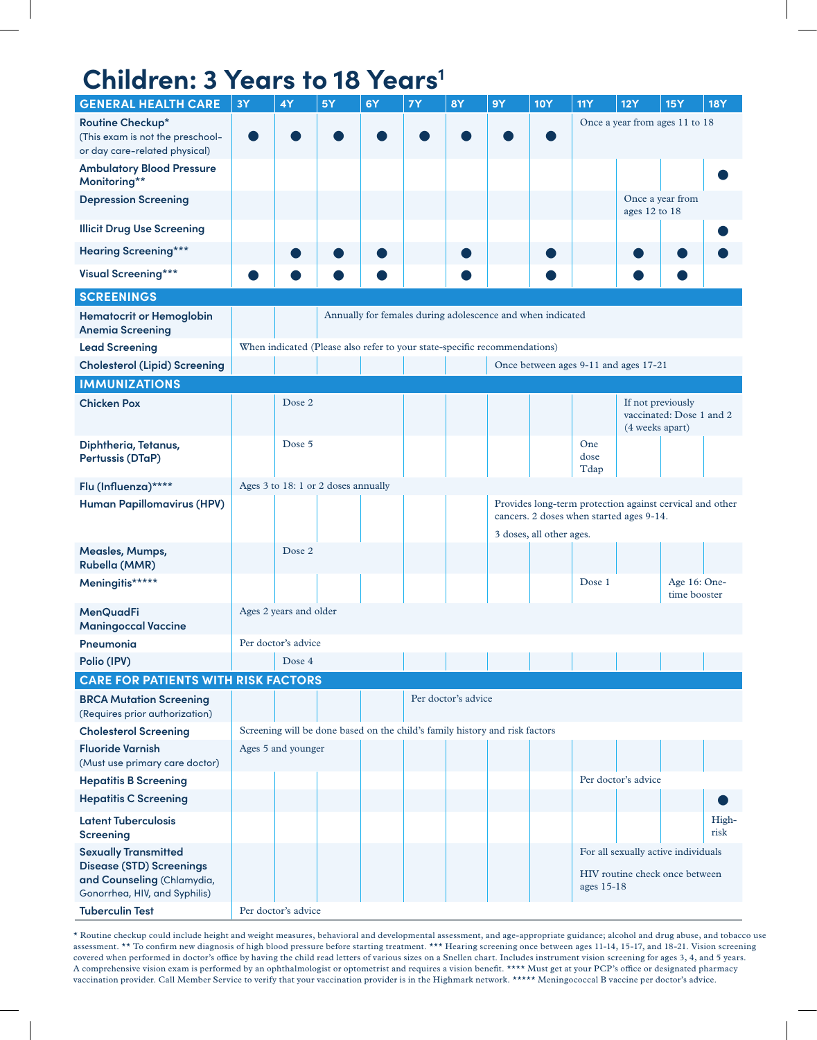## **Children: 3 Years to 18 Years<sup>1</sup>**

| <b>GENERAL HEALTH CARE</b>                                                                                                    | <b>3Y</b>                                                                                            | 4Y                     | 5Y                                 | 6Y                                                                          | <b>7Y</b> | <b>8Y</b>           | <b>9Y</b> | <b>10Y</b>               | <b>11Y</b>                            | 12Y                                                                   | <b>15Y</b>                   | <b>18Y</b>    |
|-------------------------------------------------------------------------------------------------------------------------------|------------------------------------------------------------------------------------------------------|------------------------|------------------------------------|-----------------------------------------------------------------------------|-----------|---------------------|-----------|--------------------------|---------------------------------------|-----------------------------------------------------------------------|------------------------------|---------------|
| Routine Checkup*<br>(This exam is not the preschool-<br>or day care-related physical)                                         | Once a year from ages 11 to 18                                                                       |                        |                                    |                                                                             |           |                     |           |                          |                                       |                                                                       |                              |               |
| <b>Ambulatory Blood Pressure</b><br>Monitoring**                                                                              |                                                                                                      |                        |                                    |                                                                             |           |                     |           |                          |                                       |                                                                       |                              |               |
| <b>Depression Screening</b>                                                                                                   |                                                                                                      |                        |                                    |                                                                             |           |                     |           |                          | Once a year from<br>ages 12 to 18     |                                                                       |                              |               |
| <b>Illicit Drug Use Screening</b>                                                                                             |                                                                                                      |                        |                                    |                                                                             |           |                     |           |                          |                                       |                                                                       |                              |               |
| <b>Hearing Screening***</b>                                                                                                   |                                                                                                      |                        |                                    |                                                                             |           |                     |           |                          |                                       |                                                                       |                              |               |
| <b>Visual Screening***</b>                                                                                                    |                                                                                                      |                        |                                    |                                                                             |           |                     |           |                          |                                       |                                                                       |                              |               |
| <b>SCREENINGS</b>                                                                                                             |                                                                                                      |                        |                                    |                                                                             |           |                     |           |                          |                                       |                                                                       |                              |               |
| <b>Hematocrit or Hemoglobin</b><br><b>Anemia Screening</b>                                                                    |                                                                                                      |                        |                                    | Annually for females during adolescence and when indicated                  |           |                     |           |                          |                                       |                                                                       |                              |               |
| <b>Lead Screening</b>                                                                                                         |                                                                                                      |                        |                                    | When indicated (Please also refer to your state-specific recommendations)   |           |                     |           |                          |                                       |                                                                       |                              |               |
| <b>Cholesterol (Lipid) Screening</b>                                                                                          |                                                                                                      |                        |                                    |                                                                             |           |                     |           |                          | Once between ages 9-11 and ages 17-21 |                                                                       |                              |               |
| <b>IMMUNIZATIONS</b>                                                                                                          |                                                                                                      |                        |                                    |                                                                             |           |                     |           |                          |                                       |                                                                       |                              |               |
| <b>Chicken Pox</b>                                                                                                            |                                                                                                      | Dose 2                 |                                    |                                                                             |           |                     |           |                          |                                       | If not previously<br>(4 weeks apart)                                  | vaccinated: Dose 1 and 2     |               |
| Diphtheria, Tetanus,<br>Pertussis (DTaP)                                                                                      |                                                                                                      | Dose 5                 |                                    |                                                                             |           |                     |           |                          | One<br>dose<br>Tdap                   |                                                                       |                              |               |
| Flu (Influenza)****                                                                                                           |                                                                                                      |                        | Ages 3 to 18:1 or 2 doses annually |                                                                             |           |                     |           |                          |                                       |                                                                       |                              |               |
| <b>Human Papillomavirus (HPV)</b>                                                                                             | Provides long-term protection against cervical and other<br>cancers. 2 doses when started ages 9-14. |                        |                                    |                                                                             |           |                     |           |                          |                                       |                                                                       |                              |               |
|                                                                                                                               |                                                                                                      |                        |                                    |                                                                             |           |                     |           | 3 doses, all other ages. |                                       |                                                                       |                              |               |
| Measles, Mumps,<br><b>Rubella (MMR)</b>                                                                                       |                                                                                                      | Dose 2                 |                                    |                                                                             |           |                     |           |                          |                                       |                                                                       |                              |               |
| Meningitis*****                                                                                                               |                                                                                                      |                        |                                    |                                                                             |           |                     |           |                          | Dose 1                                |                                                                       | Age 16: One-<br>time booster |               |
| <b>MenQuadFi</b><br><b>Maningoccal Vaccine</b>                                                                                |                                                                                                      | Ages 2 years and older |                                    |                                                                             |           |                     |           |                          |                                       |                                                                       |                              |               |
| Pneumonia                                                                                                                     |                                                                                                      | Per doctor's advice    |                                    |                                                                             |           |                     |           |                          |                                       |                                                                       |                              |               |
| Polio (IPV)                                                                                                                   |                                                                                                      | Dose 4                 |                                    |                                                                             |           |                     |           |                          |                                       |                                                                       |                              |               |
| <b>CARE FOR PATIENTS WITH RISK FACTORS</b>                                                                                    |                                                                                                      |                        |                                    |                                                                             |           |                     |           |                          |                                       |                                                                       |                              |               |
| <b>BRCA Mutation Screening</b><br>(Requires prior authorization)                                                              |                                                                                                      |                        |                                    |                                                                             |           | Per doctor's advice |           |                          |                                       |                                                                       |                              |               |
| <b>Cholesterol Screening</b>                                                                                                  |                                                                                                      |                        |                                    | Screening will be done based on the child's family history and risk factors |           |                     |           |                          |                                       |                                                                       |                              |               |
| <b>Fluoride Varnish</b><br>(Must use primary care doctor)                                                                     |                                                                                                      | Ages 5 and younger     |                                    |                                                                             |           |                     |           |                          |                                       |                                                                       |                              |               |
| <b>Hepatitis B Screening</b>                                                                                                  |                                                                                                      |                        |                                    |                                                                             |           |                     |           |                          |                                       | Per doctor's advice                                                   |                              |               |
| <b>Hepatitis C Screening</b>                                                                                                  |                                                                                                      |                        |                                    |                                                                             |           |                     |           |                          |                                       |                                                                       |                              |               |
| <b>Latent Tuberculosis</b><br><b>Screening</b>                                                                                |                                                                                                      |                        |                                    |                                                                             |           |                     |           |                          |                                       |                                                                       |                              | High-<br>risk |
| <b>Sexually Transmitted</b><br><b>Disease (STD) Screenings</b><br>and Counseling (Chlamydia,<br>Gonorrhea, HIV, and Syphilis) |                                                                                                      |                        |                                    |                                                                             |           |                     |           |                          | ages 15-18                            | For all sexually active individuals<br>HIV routine check once between |                              |               |
| <b>Tuberculin Test</b>                                                                                                        | Per doctor's advice                                                                                  |                        |                                    |                                                                             |           |                     |           |                          |                                       |                                                                       |                              |               |

\* Routine checkup could include height and weight measures, behavioral and developmental assessment, and age-appropriate guidance; alcohol and drug abuse, and tobacco use assessment. \*\* To confirm new diagnosis of high blood pressure before starting treatment. \*\*\* Hearing screening once between ages 11-14, 15-17, and 18-21. Vision screening covered when performed in doctor's office by having the child read letters of various sizes on a Snellen chart. Includes instrument vision screening for ages 3, 4, and 5 years. A comprehensive vision exam is performed by an ophthalmologist or optometrist and requires a vision benefit. \*\*\*\* Must get at your PCP's office or designated pharmacy vaccination provider. Call Member Service to verify that your vaccination provider is in the Highmark network. \*\*\*\*\* Meningococcal B vaccine per doctor's advice.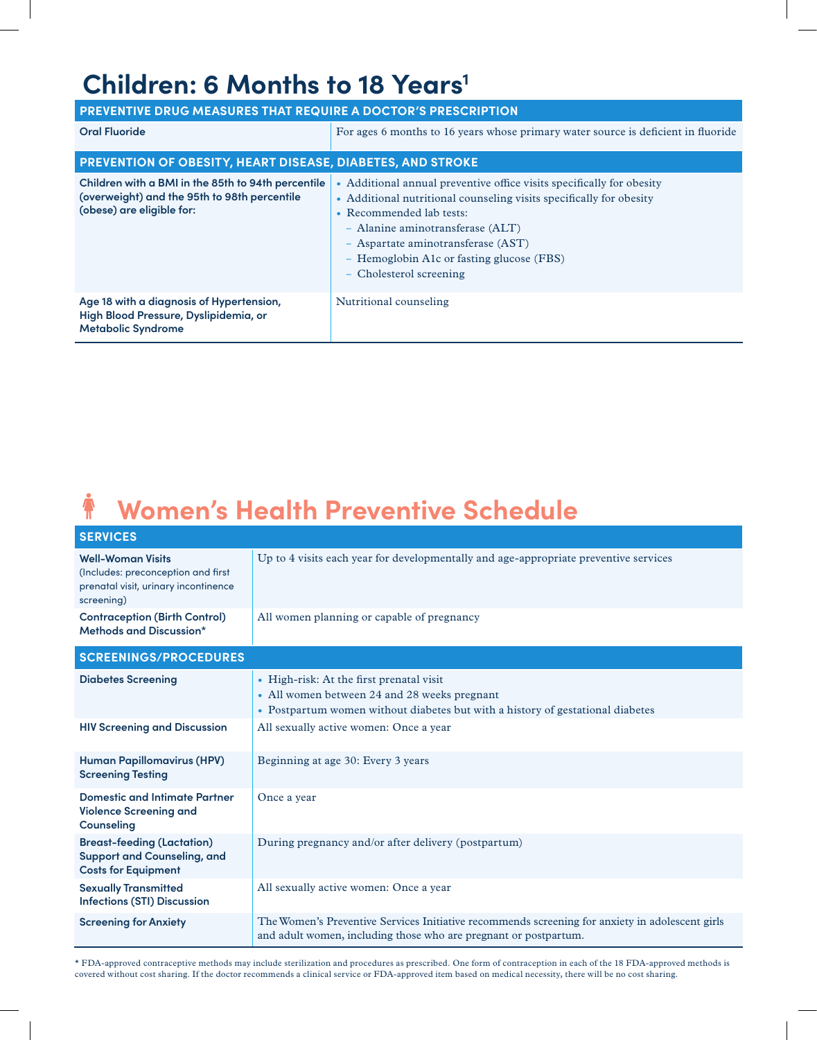### **Children: 6 Months to 18 Years<sup>1</sup>**

| <b>PREVENTIVE DRUG MEASURES THAT REQUIRE A DOCTOR'S PRESCRIPTION</b>                                                            |                                                                                                                                                                                                                                                                                                                          |  |  |  |  |  |  |
|---------------------------------------------------------------------------------------------------------------------------------|--------------------------------------------------------------------------------------------------------------------------------------------------------------------------------------------------------------------------------------------------------------------------------------------------------------------------|--|--|--|--|--|--|
| <b>Oral Fluoride</b>                                                                                                            | For ages 6 months to 16 years whose primary water source is deficient in fluoride                                                                                                                                                                                                                                        |  |  |  |  |  |  |
| <b>PREVENTION OF OBESITY, HEART DISEASE, DIABETES, AND STROKE</b>                                                               |                                                                                                                                                                                                                                                                                                                          |  |  |  |  |  |  |
| Children with a BMI in the 85th to 94th percentile<br>(overweight) and the 95th to 98th percentile<br>(obese) are eligible for: | Additional annual preventive office visits specifically for obesity<br>• Additional nutritional counseling visits specifically for obesity<br>• Recommended lab tests:<br>- Alanine aminotransferase (ALT)<br>- Aspartate aminotransferase (AST)<br>- Hemoglobin A1c or fasting glucose (FBS)<br>- Cholesterol screening |  |  |  |  |  |  |
| Age 18 with a diagnosis of Hypertension,<br>High Blood Pressure, Dyslipidemia, or<br><b>Metabolic Syndrome</b>                  | Nutritional counseling                                                                                                                                                                                                                                                                                                   |  |  |  |  |  |  |

#### $\ddot{\textbf{r}}$ **Women's Health Preventive Schedule**

| <b>SERVICES</b>                                                                                                      |                                                                                                                                                                            |
|----------------------------------------------------------------------------------------------------------------------|----------------------------------------------------------------------------------------------------------------------------------------------------------------------------|
| <b>Well-Woman Visits</b><br>(Includes: preconception and first<br>prenatal visit, urinary incontinence<br>screening) | Up to 4 visits each year for developmentally and age-appropriate preventive services                                                                                       |
| <b>Contraception (Birth Control)</b><br>Methods and Discussion*                                                      | All women planning or capable of pregnancy                                                                                                                                 |
| <b>SCREENINGS/PROCEDURES</b>                                                                                         |                                                                                                                                                                            |
| <b>Diabetes Screening</b>                                                                                            | • High-risk: At the first prenatal visit<br>• All women between 24 and 28 weeks pregnant<br>• Postpartum women without diabetes but with a history of gestational diabetes |
| <b>HIV Screening and Discussion</b>                                                                                  | All sexually active women: Once a year                                                                                                                                     |
| <b>Human Papillomavirus (HPV)</b><br><b>Screening Testing</b>                                                        | Beginning at age 30: Every 3 years                                                                                                                                         |
| <b>Domestic and Intimate Partner</b><br><b>Violence Screening and</b><br>Counseling                                  | Once a year                                                                                                                                                                |
| <b>Breast-feeding (Lactation)</b><br><b>Support and Counseling, and</b><br><b>Costs for Equipment</b>                | During pregnancy and/or after delivery (postpartum)                                                                                                                        |
| <b>Sexually Transmitted</b><br><b>Infections (STI) Discussion</b>                                                    | All sexually active women: Once a year                                                                                                                                     |
| <b>Screening for Anxiety</b>                                                                                         | The Women's Preventive Services Initiative recommends screening for anxiety in adolescent girls<br>and adult women, including those who are pregnant or postpartum.        |

\* FDA-approved contraceptive methods may include sterilization and procedures as prescribed. One form of contraception in each of the 18 FDA-approved methods is covered without cost sharing. If the doctor recommends a clinical service or FDA-approved item based on medical necessity, there will be no cost sharing.